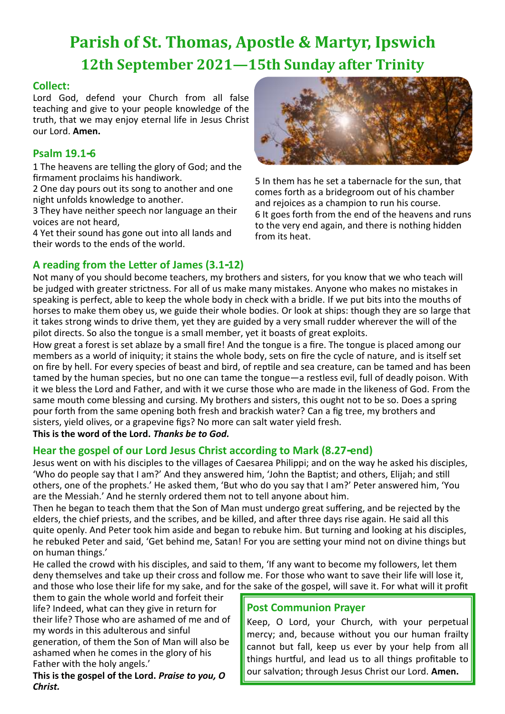# **Parish of St. Thomas, Apostle & Martyr, Ipswich 12th September 2021—15th Sunday after Trinity**

### **Collect:**

Lord God, defend your Church from all false teaching and give to your people knowledge of the truth, that we may enjoy eternal life in Jesus Christ our Lord. **Amen.**

# **Psalm 19.1-6**

1 The heavens are telling the glory of God; and the firmament proclaims his handiwork.

2 One day pours out its song to another and one night unfolds knowledge to another.

3 They have neither speech nor language an their voices are not heard,

4 Yet their sound has gone out into all lands and their words to the ends of the world.



5 In them has he set a tabernacle for the sun, that comes forth as a bridegroom out of his chamber and rejoices as a champion to run his course. 6 It goes forth from the end of the heavens and runs to the very end again, and there is nothing hidden from its heat.

# **A reading from the Letter of James (3.1-12)**

Not many of you should become teachers, my brothers and sisters, for you know that we who teach will be judged with greater strictness. For all of us make many mistakes. Anyone who makes no mistakes in speaking is perfect, able to keep the whole body in check with a bridle. If we put bits into the mouths of horses to make them obey us, we guide their whole bodies. Or look at ships: though they are so large that it takes strong winds to drive them, yet they are guided by a very small rudder wherever the will of the pilot directs. So also the tongue is a small member, yet it boasts of great exploits.

How great a forest is set ablaze by a small fire! And the tongue is a fire. The tongue is placed among our members as a world of iniquity; it stains the whole body, sets on fire the cycle of nature, and is itself set on fire by hell. For every species of beast and bird, of reptile and sea creature, can be tamed and has been tamed by the human species, but no one can tame the tongue—a restless evil, full of deadly poison. With it we bless the Lord and Father, and with it we curse those who are made in the likeness of God. From the same mouth come blessing and cursing. My brothers and sisters, this ought not to be so. Does a spring pour forth from the same opening both fresh and brackish water? Can a fig tree, my brothers and sisters, yield olives, or a grapevine figs? No more can salt water yield fresh.

**This is the word of the Lord.** *Thanks be to God.*

# **Hear the gospel of our Lord Jesus Christ according to Mark (8.27-end)**

Jesus went on with his disciples to the villages of Caesarea Philippi; and on the way he asked his disciples, 'Who do people say that I am?' And they answered him, 'John the Baptist; and others, Elijah; and still others, one of the prophets.' He asked them, 'But who do you say that I am?' Peter answered him, 'You are the Messiah.' And he sternly ordered them not to tell anyone about him.

Then he began to teach them that the Son of Man must undergo great suffering, and be rejected by the elders, the chief priests, and the scribes, and be killed, and after three days rise again. He said all this quite openly. And Peter took him aside and began to rebuke him. But turning and looking at his disciples, he rebuked Peter and said, 'Get behind me, Satan! For you are setting your mind not on divine things but on human things.'

He called the crowd with his disciples, and said to them, 'If any want to become my followers, let them deny themselves and take up their cross and follow me. For those who want to save their life will lose it, and those who lose their life for my sake, and for the sake of the gospel, will save it. For what will it profit

them to gain the whole world and forfeit their life? Indeed, what can they give in return for their life? Those who are ashamed of me and of my words in this adulterous and sinful generation, of them the Son of Man will also be ashamed when he comes in the glory of his Father with the holy angels.'

**This is the gospel of the Lord.** *Praise to you, O Christ.*

# **Post Communion Prayer**

Keep, O Lord, your Church, with your perpetual mercy; and, because without you our human frailty cannot but fall, keep us ever by your help from all things hurtful, and lead us to all things profitable to our salvation; through Jesus Christ our Lord. **Amen.**